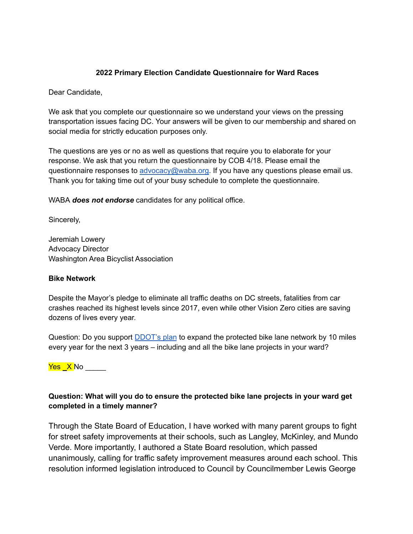## **2022 Primary Election Candidate Questionnaire for Ward Races**

Dear Candidate,

We ask that you complete our questionnaire so we understand your views on the pressing transportation issues facing DC. Your answers will be given to our membership and shared on social media for strictly education purposes only.

The questions are yes or no as well as questions that require you to elaborate for your response. We ask that you return the questionnaire by COB 4/18. Please email the questionnaire responses to [advocacy@waba.org.](mailto:jeremiah.lowery@waba.org) If you have any questions please email us. Thank you for taking time out of your busy schedule to complete the questionnaire.

WABA *does not endorse* candidates for any political office.

Sincerely,

Jeremiah Lowery Advocacy Director Washington Area Bicyclist Association

#### **Bike Network**

Despite the Mayor's pledge to eliminate all traffic deaths on DC streets, fatalities from car crashes reached its highest levels since 2017, even while other Vision Zero cities are saving dozens of lives every year.

Question: Do you support **[DDOT's plan](https://ddot.dc.gov/page/bicycle-lanes)** to expand the protected bike lane network by 10 miles every year for the next 3 years – including and all the bike lane projects in your ward?

<mark>Yes X</mark> No

## **Question: What will you do to ensure the protected bike lane projects in your ward get completed in a timely manner?**

Through the State Board of Education, I have worked with many parent groups to fight for street safety improvements at their schools, such as Langley, McKinley, and Mundo Verde. More importantly, I authored a State Board resolution, which passed unanimously, calling for traffic safety improvement measures around each school. This resolution informed legislation introduced to Council by Councilmember Lewis George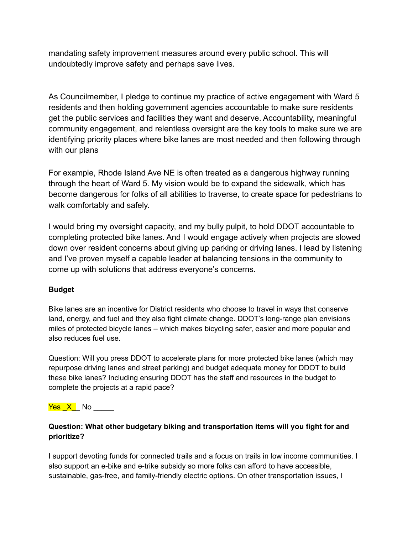mandating safety improvement measures around every public school. This will undoubtedly improve safety and perhaps save lives.

As Councilmember, I pledge to continue my practice of active engagement with Ward 5 residents and then holding government agencies accountable to make sure residents get the public services and facilities they want and deserve. Accountability, meaningful community engagement, and relentless oversight are the key tools to make sure we are identifying priority places where bike lanes are most needed and then following through with our plans

For example, Rhode Island Ave NE is often treated as a dangerous highway running through the heart of Ward 5. My vision would be to expand the sidewalk, which has become dangerous for folks of all abilities to traverse, to create space for pedestrians to walk comfortably and safely.

I would bring my oversight capacity, and my bully pulpit, to hold DDOT accountable to completing protected bike lanes. And I would engage actively when projects are slowed down over resident concerns about giving up parking or driving lanes. I lead by listening and I've proven myself a capable leader at balancing tensions in the community to come up with solutions that address everyone's concerns.

## **Budget**

Bike lanes are an incentive for District residents who choose to travel in ways that conserve land, energy, and fuel and they also fight climate change. DDOT's long-range plan envisions miles of protected bicycle lanes – which makes bicycling safer, easier and more popular and also reduces fuel use.

Question: Will you press DDOT to accelerate plans for more protected bike lanes (which may repurpose driving lanes and street parking) and budget adequate money for DDOT to build these bike lanes? Including ensuring DDOT has the staff and resources in the budget to complete the projects at a rapid pace?

# <mark>Yes X</mark> No  $\overline{ }$

## **Question: What other budgetary biking and transportation items will you fight for and prioritize?**

I support devoting funds for connected trails and a focus on trails in low income communities. I also support an e-bike and e-trike subsidy so more folks can afford to have accessible, sustainable, gas-free, and family-friendly electric options. On other transportation issues, I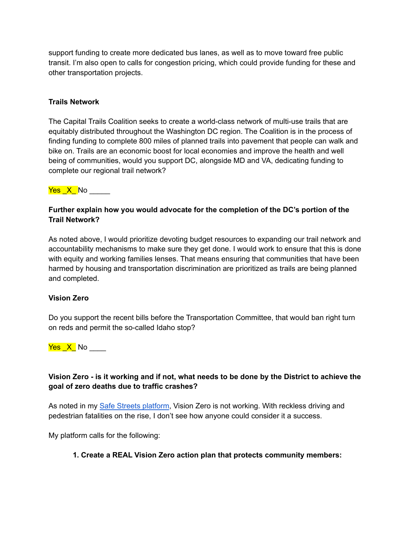support funding to create more dedicated bus lanes, as well as to move toward free public transit. I'm also open to calls for congestion pricing, which could provide funding for these and other transportation projects.

#### **Trails Network**

The Capital Trails Coalition seeks to create a world-class network of multi-use trails that are equitably distributed throughout the Washington DC region. The Coalition is in the process of finding funding to complete 800 miles of planned trails into pavement that people can walk and bike on. Trails are an economic boost for local economies and improve the health and well being of communities, would you support DC, alongside MD and VA, dedicating funding to complete our regional trail network?

#### <mark>Yes X </mark>No  $\overline{ }$

## **Further explain how you would advocate for the completion of the DC's portion of the Trail Network?**

As noted above, I would prioritize devoting budget resources to expanding our trail network and accountability mechanisms to make sure they get done. I would work to ensure that this is done with equity and working families lenses. That means ensuring that communities that have been harmed by housing and transportation discrimination are prioritized as trails are being planned and completed.

#### **Vision Zero**

Do you support the recent bills before the Transportation Committee, that would ban right turn on reds and permit the so-called Idaho stop?

 $Yes\_X$  No \_\_\_\_\_

## **Vision Zero - is it working and if not, what needs to be done by the District to achieve the goal of zero deaths due to traffic crashes?**

As noted in my [Safe Streets platform](https://www.zacharyforward5.com/post/zachary-announces-his-safe-streets-platform), Vision Zero is not working. With reckless driving and pedestrian fatalities on the rise, I don't see how anyone could consider it a success.

My platform calls for the following:

#### **1. Create a REAL Vision Zero action plan that protects community members:**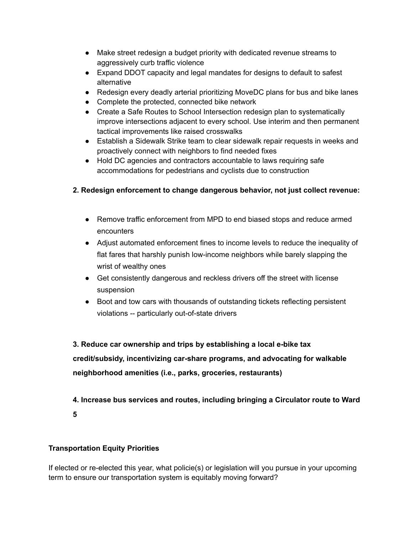- Make street redesign a budget priority with dedicated revenue streams to aggressively curb traffic violence
- Expand DDOT capacity and legal mandates for designs to default to safest alternative
- Redesign every deadly arterial prioritizing MoveDC plans for bus and bike lanes
- Complete the protected, connected bike network
- Create a Safe Routes to School Intersection redesign plan to systematically improve intersections adjacent to every school. Use interim and then permanent tactical improvements like raised crosswalks
- Establish a Sidewalk Strike team to clear sidewalk repair requests in weeks and proactively connect with neighbors to find needed fixes
- Hold DC agencies and contractors accountable to laws requiring safe accommodations for pedestrians and cyclists due to construction

## **2. Redesign enforcement to change dangerous behavior, not just collect revenue:**

- Remove traffic enforcement from MPD to end biased stops and reduce armed encounters
- Adjust automated enforcement fines to income levels to reduce the inequality of flat fares that harshly punish low-income neighbors while barely slapping the wrist of wealthy ones
- Get consistently dangerous and reckless drivers off the street with license suspension
- Boot and tow cars with thousands of outstanding tickets reflecting persistent violations -- particularly out-of-state drivers

**3. Reduce car ownership and trips by establishing a local e-bike tax credit/subsidy, incentivizing car-share programs, and advocating for walkable neighborhood amenities (i.e., parks, groceries, restaurants)**

**4. Increase bus services and routes, including bringing a Circulator route to Ward 5**

## **Transportation Equity Priorities**

If elected or re-elected this year, what policie(s) or legislation will you pursue in your upcoming term to ensure our transportation system is equitably moving forward?